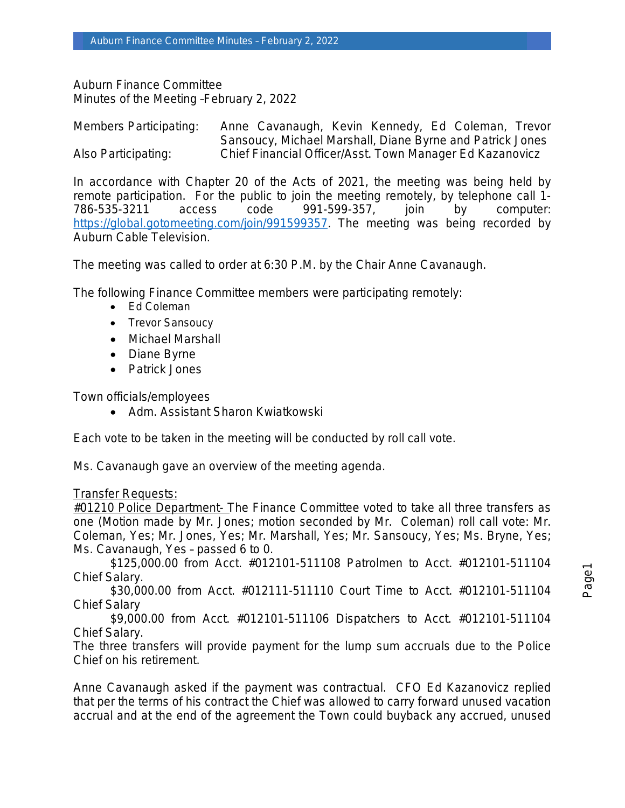Auburn Finance Committee Minutes of the Meeting –February 2, 2022

Members Participating: Anne Cavanaugh, Kevin Kennedy, Ed Coleman, Trevor Sansoucy, Michael Marshall, Diane Byrne and Patrick Jones Also Participating: Chief Financial Officer/Asst. Town Manager Ed Kazanovicz

In accordance with Chapter 20 of the Acts of 2021, the meeting was being held by remote participation. For the public to join the meeting remotely, by telephone call 1- 786-535-3211 access code 991-599-357, join by computer: <https://global.gotomeeting.com/join/991599357>. The meeting was being recorded by Auburn Cable Television.

The meeting was called to order at 6:30 P.M. by the Chair Anne Cavanaugh.

The following Finance Committee members were participating remotely:

- Ed Coleman
- Trevor Sansoucy
- Michael Marshall
- Diane Byrne
- Patrick Jones

Town officials/employees

• Adm. Assistant Sharon Kwiatkowski

Each vote to be taken in the meeting will be conducted by roll call vote.

Ms. Cavanaugh gave an overview of the meeting agenda.

### Transfer Requests:

#01210 Police Department- The Finance Committee voted to take all three transfers as one (Motion made by Mr. Jones; motion seconded by Mr. Coleman) roll call vote: Mr. Coleman, Yes; Mr. Jones, Yes; Mr. Marshall, Yes; Mr. Sansoucy, Yes; Ms. Bryne, Yes; Ms. Cavanaugh, Yes – passed 6 to 0.

\$125,000.00 from Acct. #012101-511108 Patrolmen to Acct. #012101-511104 Chief Salary.

\$30,000.00 from Acct. #012111-511110 Court Time to Acct. #012101-511104 Chief Salary

\$9,000.00 from Acct. #012101-511106 Dispatchers to Acct. #012101-511104 Chief Salary.

The three transfers will provide payment for the lump sum accruals due to the Police Chief on his retirement.

Anne Cavanaugh asked if the payment was contractual. CFO Ed Kazanovicz replied that per the terms of his contract the Chief was allowed to carry forward unused vacation accrual and at the end of the agreement the Town could buyback any accrued, unused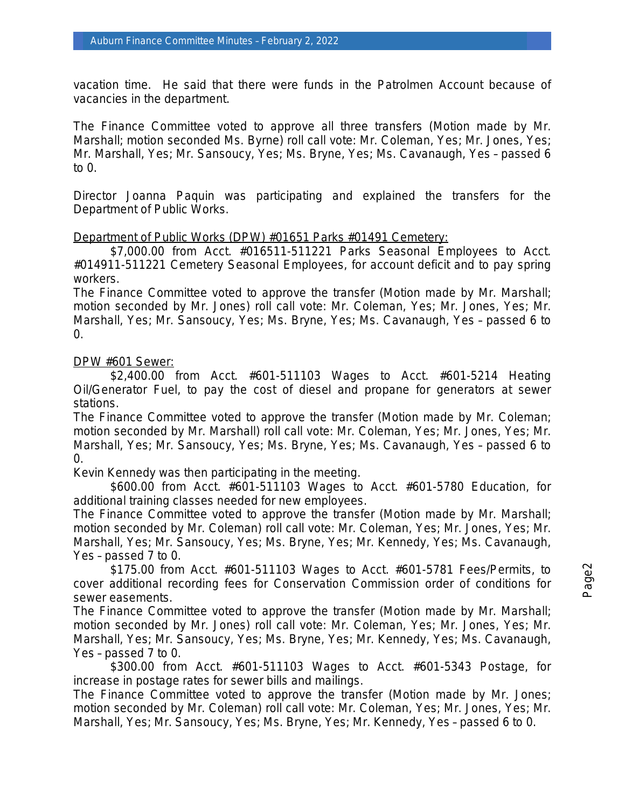vacation time. He said that there were funds in the Patrolmen Account because of vacancies in the department.

The Finance Committee voted to approve all three transfers (Motion made by Mr. Marshall; motion seconded Ms. Byrne) roll call vote: Mr. Coleman, Yes; Mr. Jones, Yes; Mr. Marshall, Yes; Mr. Sansoucy, Yes; Ms. Bryne, Yes; Ms. Cavanaugh, Yes – passed 6 to 0.

Director Joanna Paquin was participating and explained the transfers for the Department of Public Works.

## Department of Public Works (DPW) #01651 Parks #01491 Cemetery:

\$7,000.00 from Acct. #016511-511221 Parks Seasonal Employees to Acct. #014911-511221 Cemetery Seasonal Employees, for account deficit and to pay spring workers.

The Finance Committee voted to approve the transfer (Motion made by Mr. Marshall; motion seconded by Mr. Jones) roll call vote: Mr. Coleman, Yes; Mr. Jones, Yes; Mr. Marshall, Yes; Mr. Sansoucy, Yes; Ms. Bryne, Yes; Ms. Cavanaugh, Yes – passed 6 to  $\Omega$ .

## DPW #601 Sewer:

\$2,400.00 from Acct. #601-511103 Wages to Acct. #601-5214 Heating Oil/Generator Fuel, to pay the cost of diesel and propane for generators at sewer stations.

The Finance Committee voted to approve the transfer (Motion made by Mr. Coleman; motion seconded by Mr. Marshall) roll call vote: Mr. Coleman, Yes; Mr. Jones, Yes; Mr. Marshall, Yes; Mr. Sansoucy, Yes; Ms. Bryne, Yes; Ms. Cavanaugh, Yes – passed 6 to 0.

Kevin Kennedy was then participating in the meeting.

\$600.00 from Acct. #601-511103 Wages to Acct. #601-5780 Education, for additional training classes needed for new employees.

The Finance Committee voted to approve the transfer (Motion made by Mr. Marshall; motion seconded by Mr. Coleman) roll call vote: Mr. Coleman, Yes; Mr. Jones, Yes; Mr. Marshall, Yes; Mr. Sansoucy, Yes; Ms. Bryne, Yes; Mr. Kennedy, Yes; Ms. Cavanaugh, Yes – passed 7 to 0.

\$175.00 from Acct. #601-511103 Wages to Acct. #601-5781 Fees/Permits, to cover additional recording fees for Conservation Commission order of conditions for sewer easements.

The Finance Committee voted to approve the transfer (Motion made by Mr. Marshall; motion seconded by Mr. Jones) roll call vote: Mr. Coleman, Yes; Mr. Jones, Yes; Mr. Marshall, Yes; Mr. Sansoucy, Yes; Ms. Bryne, Yes; Mr. Kennedy, Yes; Ms. Cavanaugh, Yes – passed 7 to 0.

\$300.00 from Acct. #601-511103 Wages to Acct. #601-5343 Postage, for increase in postage rates for sewer bills and mailings.

The Finance Committee voted to approve the transfer (Motion made by Mr. Jones; motion seconded by Mr. Coleman) roll call vote: Mr. Coleman, Yes; Mr. Jones, Yes; Mr. Marshall, Yes; Mr. Sansoucy, Yes; Ms. Bryne, Yes; Mr. Kennedy, Yes – passed 6 to 0.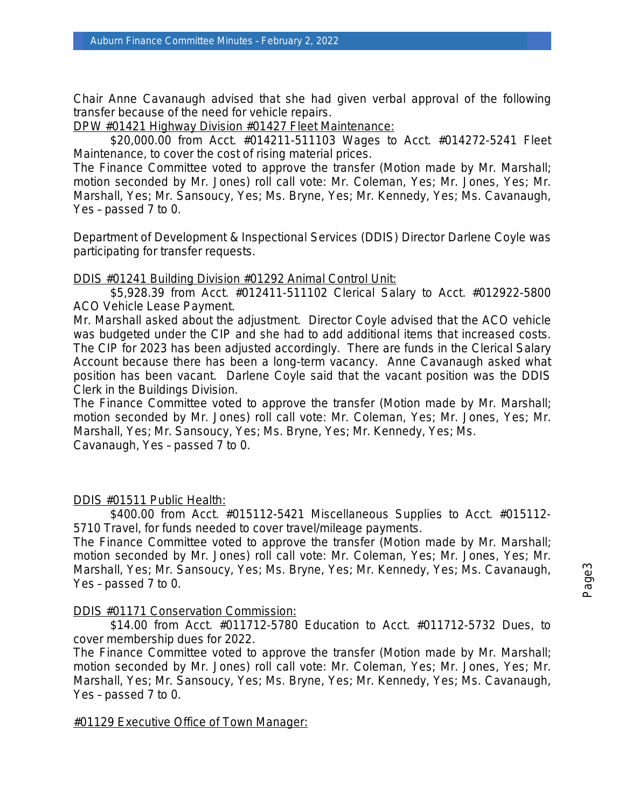Chair Anne Cavanaugh advised that she had given verbal approval of the following transfer because of the need for vehicle repairs.

DPW #01421 Highway Division #01427 Fleet Maintenance:

\$20,000.00 from Acct. #014211-511103 Wages to Acct. #014272-5241 Fleet Maintenance, to cover the cost of rising material prices.

The Finance Committee voted to approve the transfer (Motion made by Mr. Marshall; motion seconded by Mr. Jones) roll call vote: Mr. Coleman, Yes; Mr. Jones, Yes; Mr. Marshall, Yes; Mr. Sansoucy, Yes; Ms. Bryne, Yes; Mr. Kennedy, Yes; Ms. Cavanaugh, Yes – passed 7 to 0.

Department of Development & Inspectional Services (DDIS) Director Darlene Coyle was participating for transfer requests.

## DDIS #01241 Building Division #01292 Animal Control Unit:

\$5,928.39 from Acct. #012411-511102 Clerical Salary to Acct. #012922-5800 ACO Vehicle Lease Payment.

Mr. Marshall asked about the adjustment. Director Coyle advised that the ACO vehicle was budgeted under the CIP and she had to add additional items that increased costs. The CIP for 2023 has been adjusted accordingly. There are funds in the Clerical Salary Account because there has been a long-term vacancy. Anne Cavanaugh asked what position has been vacant. Darlene Coyle said that the vacant position was the DDIS Clerk in the Buildings Division.

The Finance Committee voted to approve the transfer (Motion made by Mr. Marshall; motion seconded by Mr. Jones) roll call vote: Mr. Coleman, Yes; Mr. Jones, Yes; Mr. Marshall, Yes; Mr. Sansoucy, Yes; Ms. Bryne, Yes; Mr. Kennedy, Yes; Ms. Cavanaugh, Yes – passed 7 to 0.

# DDIS #01511 Public Health:

\$400.00 from Acct. #015112-5421 Miscellaneous Supplies to Acct. #015112- 5710 Travel, for funds needed to cover travel/mileage payments.

The Finance Committee voted to approve the transfer (Motion made by Mr. Marshall; motion seconded by Mr. Jones) roll call vote: Mr. Coleman, Yes; Mr. Jones, Yes; Mr. Marshall, Yes; Mr. Sansoucy, Yes; Ms. Bryne, Yes; Mr. Kennedy, Yes; Ms. Cavanaugh, Yes – passed 7 to 0.

# DDIS #01171 Conservation Commission:

\$14.00 from Acct. #011712-5780 Education to Acct. #011712-5732 Dues, to cover membership dues for 2022.

The Finance Committee voted to approve the transfer (Motion made by Mr. Marshall; motion seconded by Mr. Jones) roll call vote: Mr. Coleman, Yes; Mr. Jones, Yes; Mr. Marshall, Yes; Mr. Sansoucy, Yes; Ms. Bryne, Yes; Mr. Kennedy, Yes; Ms. Cavanaugh, Yes – passed 7 to 0.

#01129 Executive Office of Town Manager: